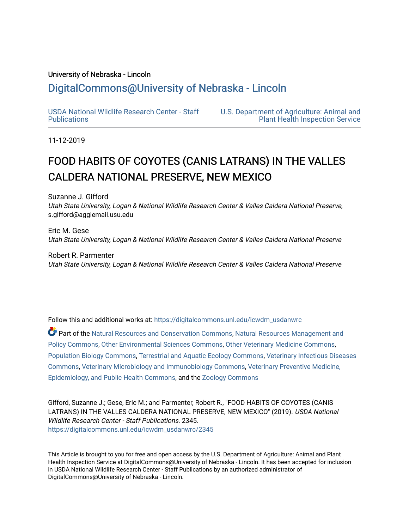### University of Nebraska - Lincoln

## [DigitalCommons@University of Nebraska - Lincoln](https://digitalcommons.unl.edu/)

[USDA National Wildlife Research Center - Staff](https://digitalcommons.unl.edu/icwdm_usdanwrc)  [Publications](https://digitalcommons.unl.edu/icwdm_usdanwrc) 

[U.S. Department of Agriculture: Animal and](https://digitalcommons.unl.edu/usdaaphis)  [Plant Health Inspection Service](https://digitalcommons.unl.edu/usdaaphis) 

11-12-2019

# FOOD HABITS OF COYOTES (CANIS LATRANS) IN THE VALLES CALDERA NATIONAL PRESERVE, NEW MEXICO

Suzanne J. Gifford Utah State University, Logan & National Wildlife Research Center & Valles Caldera National Preserve, s.gifford@aggiemail.usu.edu

Eric M. Gese Utah State University, Logan & National Wildlife Research Center & Valles Caldera National Preserve

Robert R. Parmenter Utah State University, Logan & National Wildlife Research Center & Valles Caldera National Preserve

Follow this and additional works at: [https://digitalcommons.unl.edu/icwdm\\_usdanwrc](https://digitalcommons.unl.edu/icwdm_usdanwrc?utm_source=digitalcommons.unl.edu%2Ficwdm_usdanwrc%2F2345&utm_medium=PDF&utm_campaign=PDFCoverPages)

Part of the [Natural Resources and Conservation Commons,](http://network.bepress.com/hgg/discipline/168?utm_source=digitalcommons.unl.edu%2Ficwdm_usdanwrc%2F2345&utm_medium=PDF&utm_campaign=PDFCoverPages) [Natural Resources Management and](http://network.bepress.com/hgg/discipline/170?utm_source=digitalcommons.unl.edu%2Ficwdm_usdanwrc%2F2345&utm_medium=PDF&utm_campaign=PDFCoverPages) [Policy Commons](http://network.bepress.com/hgg/discipline/170?utm_source=digitalcommons.unl.edu%2Ficwdm_usdanwrc%2F2345&utm_medium=PDF&utm_campaign=PDFCoverPages), [Other Environmental Sciences Commons](http://network.bepress.com/hgg/discipline/173?utm_source=digitalcommons.unl.edu%2Ficwdm_usdanwrc%2F2345&utm_medium=PDF&utm_campaign=PDFCoverPages), [Other Veterinary Medicine Commons](http://network.bepress.com/hgg/discipline/771?utm_source=digitalcommons.unl.edu%2Ficwdm_usdanwrc%2F2345&utm_medium=PDF&utm_campaign=PDFCoverPages), [Population Biology Commons,](http://network.bepress.com/hgg/discipline/19?utm_source=digitalcommons.unl.edu%2Ficwdm_usdanwrc%2F2345&utm_medium=PDF&utm_campaign=PDFCoverPages) [Terrestrial and Aquatic Ecology Commons,](http://network.bepress.com/hgg/discipline/20?utm_source=digitalcommons.unl.edu%2Ficwdm_usdanwrc%2F2345&utm_medium=PDF&utm_campaign=PDFCoverPages) [Veterinary Infectious Diseases](http://network.bepress.com/hgg/discipline/770?utm_source=digitalcommons.unl.edu%2Ficwdm_usdanwrc%2F2345&utm_medium=PDF&utm_campaign=PDFCoverPages)  [Commons](http://network.bepress.com/hgg/discipline/770?utm_source=digitalcommons.unl.edu%2Ficwdm_usdanwrc%2F2345&utm_medium=PDF&utm_campaign=PDFCoverPages), [Veterinary Microbiology and Immunobiology Commons,](http://network.bepress.com/hgg/discipline/763?utm_source=digitalcommons.unl.edu%2Ficwdm_usdanwrc%2F2345&utm_medium=PDF&utm_campaign=PDFCoverPages) [Veterinary Preventive Medicine,](http://network.bepress.com/hgg/discipline/769?utm_source=digitalcommons.unl.edu%2Ficwdm_usdanwrc%2F2345&utm_medium=PDF&utm_campaign=PDFCoverPages)  [Epidemiology, and Public Health Commons,](http://network.bepress.com/hgg/discipline/769?utm_source=digitalcommons.unl.edu%2Ficwdm_usdanwrc%2F2345&utm_medium=PDF&utm_campaign=PDFCoverPages) and the [Zoology Commons](http://network.bepress.com/hgg/discipline/81?utm_source=digitalcommons.unl.edu%2Ficwdm_usdanwrc%2F2345&utm_medium=PDF&utm_campaign=PDFCoverPages)

Gifford, Suzanne J.; Gese, Eric M.; and Parmenter, Robert R., "FOOD HABITS OF COYOTES (CANIS LATRANS) IN THE VALLES CALDERA NATIONAL PRESERVE, NEW MEXICO" (2019). USDA National Wildlife Research Center - Staff Publications. 2345. [https://digitalcommons.unl.edu/icwdm\\_usdanwrc/2345](https://digitalcommons.unl.edu/icwdm_usdanwrc/2345?utm_source=digitalcommons.unl.edu%2Ficwdm_usdanwrc%2F2345&utm_medium=PDF&utm_campaign=PDFCoverPages) 

This Article is brought to you for free and open access by the U.S. Department of Agriculture: Animal and Plant Health Inspection Service at DigitalCommons@University of Nebraska - Lincoln. It has been accepted for inclusion in USDA National Wildlife Research Center - Staff Publications by an authorized administrator of DigitalCommons@University of Nebraska - Lincoln.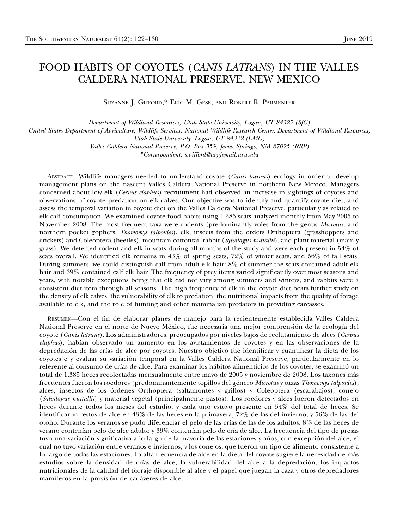## FOOD HABITS OF COYOTES (CANIS LATRANS) IN THE VALLES CALDERA NATIONAL PRESERVE, NEW MEXICO

SUZANNE J. GIFFORD,\* ERIC M. GESE, AND ROBERT R. PARMENTER

Department of Wildland Resources, Utah State University, Logan, UT 84322 (SJG) United States Department of Agriculture, Wildlife Services, National Wildlife Research Center, Department of Wildland Resources, Utah State University, Logan, UT 84322 (EMG) Valles Caldera National Preserve, P.O. Box 359, Jemez Springs, NM 87025 (RRP) \*Correspondent: s.gifford@aggiemail.usu.edu

ABSTRACT—Wildlife managers needed to understand coyote (Canis latrans) ecology in order to develop management plans on the nascent Valles Caldera National Preserve in northern New Mexico. Managers concerned about low elk (Cervus elaphus) recruitment had observed an increase in sightings of coyotes and observations of coyote predation on elk calves. Our objective was to identify and quantify coyote diet, and assess the temporal variation in coyote diet on the Valles Caldera National Preserve, particularly as related to elk calf consumption. We examined coyote food habits using 1,385 scats analyzed monthly from May 2005 to November 2008. The most frequent taxa were rodents (predominantly voles from the genus Microtus, and northern pocket gophers, *Thomomys talpoides*), elk, insects from the orders Orthoptera (grasshoppers and crickets) and Coleoptera (beetles), mountain cottontail rabbit (Sylvilagus nuttallii), and plant material (mainly grass). We detected rodent and elk in scats during all months of the study and were each present in 54% of scats overall. We identified elk remains in 43% of spring scats, 72% of winter scats, and 56% of fall scats. During summers, we could distinguish calf from adult elk hair: 8% of summer the scats contained adult elk hair and 39% contained calf elk hair. The frequency of prey items varied significantly over most seasons and years, with notable exceptions being that elk did not vary among summers and winters, and rabbits were a consistent diet item through all seasons. The high frequency of elk in the coyote diet bears further study on the density of elk calves, the vulnerability of elk to predation, the nutritional impacts from the quality of forage available to elk, and the role of hunting and other mammalian predators in providing carcasses.

RESUMEN—Con el fin de elaborar planes de manejo para la recientemente establecida Valles Caldera National Preserve en el norte de Nuevo México, fue necesaria una mejor comprensión de la ecología del coyote (Canis latrans). Los administradores, preocupados por niveles bajos de reclutamiento de alces (Cervus elaphus), habían observado un aumento en los avistamientos de coyotes y en las observaciones de la depredación de las crías de alce por coyotes. Nuestro objetivo fue identificar y cuantificar la dieta de los coyotes e y evaluar su variación temporal en la Valles Caldera National Preserve, particularmente en lo referente al consumo de crías de alce. Para examinar los hábitos alimenticios de los coyotes, se examinó un total de 1,385 heces recolectadas mensualmente entre mayo de 2005 y noviembre de 2008. Los taxones m´as frecuentes fueron los roedores (predominantemente topillos del género Microtus y tuzas Thomomys talpoides), alces, insectos de los órdenes Orthoptera (saltamontes y grillos) y Coleoptera (escarabajos), conejo (Sylvilagus nuttallii) y material vegetal (principalmente pastos). Los roedores y alces fueron detectados en heces durante todos los meses del estudio, y cada uno estuvo presente en 54% del total de heces. Se identificaron restos de alce en 43% de las heces en la primavera, 72% de las del invierno, y 56% de las del otoño. Durante los veranos se pudo diferenciar el pelo de las crías de las de los adultos: 8% de las heces de verano contenían pelo de alce adulto y 39% contenían pelo de cría de alce. La frecuencia del tipo de presas tuvo una variación significativa a lo largo de la mayoría de las estaciones y años, con excepción del alce, el cual no tuvo variaci´on entre veranos e inviernos, y los conejos, que fueron un tipo de alimento consistente a lo largo de todas las estaciones. La alta frecuencia de alce en la dieta del coyote sugiere la necesidad de más estudios sobre la densidad de crías de alce, la vulnerabilidad del alce a la depredación, los impactos nutricionales de la calidad del forraje disponible al alce y el papel que juegan la caza y otros depredadores mamíferos en la provisión de cadáveres de alce.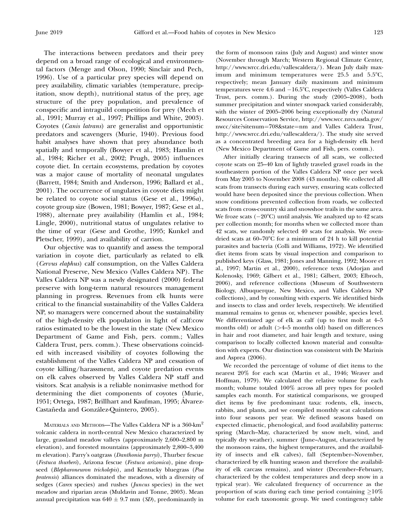The interactions between predators and their prey depend on a broad range of ecological and environmental factors (Menge and Olson, 1990; Sinclair and Pech, 1996). Use of a particular prey species will depend on prey availability, climatic variables (temperature, precipitation, snow depth), nutritional status of the prey, age structure of the prey population, and prevalence of conspecific and intraguild competition for prey (Mech et al., 1991; Murray et al., 1997; Phillips and White, 2003). Coyotes (Canis latrans) are generalist and opportunistic predators and scavengers (Murie, 1940). Previous food habit analyses have shown that prey abundance both spatially and temporally (Bowyer et al., 1983; Hamlin et al., 1984; Richer et al., 2002; Prugh, 2005) influences coyote diet. In certain ecosystems, predation by coyotes was a major cause of mortality of neonatal ungulates (Barrett, 1984; Smith and Anderson, 1996; Ballard et al., 2001). The occurrence of ungulates in coyote diets might be related to coyote social status (Gese et al., 1996a), coyote group size (Bowen, 1981; Bowyer, 1987; Gese et al., 1988), alternate prey availability (Hamlin et al., 1984; Lingle, 2000), nutritional status of ungulates relative to the time of year (Gese and Grothe, 1995; Kunkel and Pletscher, 1999), and availability of carrion.

Our objective was to quantify and assess the temporal variation in coyote diet, particularly as related to elk (Cervus elaphus) calf consumption, on the Valles Caldera National Preserve, New Mexico (Valles Caldera NP). The Valles Caldera NP was a newly designated (2000) federal preserve with long-term natural resources management planning in progress. Revenues from elk hunts were critical to the financial sustainability of the Valles Caldera NP, so managers were concerned about the sustainability of the high-density elk population in light of calf:cow ratios estimated to be the lowest in the state (New Mexico Department of Game and Fish, pers. comm.; Valles Caldera Trust, pers. comm.). These observations coincided with increased visibility of coyotes following the establishment of the Valles Caldera NP and cessation of coyote killing/harassment, and coyote predation events on elk calves observed by Valles Caldera NP staff and visitors. Scat analysis is a reliable noninvasive method for determining the diet components of coyotes (Murie, 1951; Ortega, 1987; Brillhart and Kaufman, 1995; Alvarez- ´ Castañeda and González-Quintero, 2005).

MATERIALS AND METHODS—The Valles Caldera NP is a 360-km<sup>2</sup> volcanic caldera in north-central New Mexico characterized by large, grassland meadow valleys (approximately 2,600–2,800 m elevation), and forested mountains (approximately 2,800–3,400 m elevation). Parry's oatgrass (Danthonia parryi), Thurber fescue (Festuca thurberi), Arizona fescue (Festuca arizonica), pine dropseed (Blepharoneuron tricholepis), and Kentucky bluegrass (Poa pratensis) alliances dominated the meadows, with a diversity of sedges (Carex species) and rushes (Juncus species) in the wet meadow and riparian areas (Muldavin and Tonne, 2003). Mean annual precipitation was  $640 \pm 9.7$  mm (SD), predominantly in

the form of monsoon rains (July and August) and winter snow (November through March; Western Regional Climate Center, http://www.wrcc.dri.edu/vallescaldera/). Mean July daily maximum and minimum temperatures were  $25.5$  and  $5.5^{\circ}$ C, respectively; mean January daily maximum and minimum temperatures were  $4.6$  and  $-16.5^{\circ}$ C, respectively (Valles Caldera Trust, pers. comm.). During the study (2005–2008), both summer precipitation and winter snowpack varied considerably, with the winter of 2005–2006 being exceptionally dry (Natural Resources Conservation Service, http://www.wcc.nrcs.usda.gov/ nwcc/site?sitenum=708&state=nm and Valles Caldera Trust, http://www.wrcc.dri.edu/vallescaldera/). The study site served as a concentrated breeding area for a high-density elk herd (New Mexico Department of Game and Fish, pers. comm.).

After initially clearing transects of all scats, we collected coyote scats on 25–40 km of lightly traveled gravel roads in the southeastern portion of the Valles Caldera NP once per week from May 2005 to November 2008 (43 months). We collected all scats from transects during each survey, ensuring scats collected would have been deposited since the previous collection. When snow conditions prevented collection from roads, we collected scats from cross-country ski and snowshoe trails in the same area. We froze scats  $(-20^{\circ}C)$  until analysis. We analyzed up to 42 scats per collection month; for months when we collected more than 42 scats, we randomly selected 40 scats for analysis. We ovendried scats at  $60-70^{\circ}$ C for a minimum of 24 h to kill potential parasites and bacteria (Colli and Williams, 1972). We identified diet items from scats by visual inspection and comparison to published keys (Glass, 1981; Jones and Manning, 1992; Moore et al., 1997; Martin et al., 2000), reference texts (Adorjan and Kolenosky, 1969; Gilbert et al., 1981; Gilbert, 2003; Elbroch, 2006), and reference collections (Museum of Southwestern Biology, Albuquerque, New Mexico, and Valles Caldera NP collections), and by consulting with experts. We identified birds and insects to class and order levels, respectively. We identified mammal remains to genus or, whenever possible, species level. We differentiated age of elk as calf (up to first molt at 4–5 months old) or adult (>4–5 months old) based on differences in hair and root diameter, and hair length and texture, using comparison to locally collected known material and consultation with experts. Our distinction was consistent with De Marinis and Asprea (2006).

We recorded the percentage of volume of diet items to the nearest 20% for each scat (Martin et al., 1946; Weaver and Hoffman, 1979). We calculated the relative volume for each month; volume totaled 100% across all prey types for pooled samples each month. For statistical comparisons, we grouped diet items by five predominant taxa: rodents, elk, insects, rabbits, and plants, and we compiled monthly scat calculations into four seasons per year. We defined seasons based on expected climactic, phenological, and food availability patterns: spring (March–May, characterized by snow melt, wind, and typically dry weather), summer (June–August, characterized by the monsoon rains, the highest temperatures, and the availability of insects and elk calves), fall (September–November, characterized by elk hunting season and therefore the availability of elk carcass remains), and winter (December–February, characterized by the coldest temperatures and deep snow in a typical year). We calculated frequency of occurrence as the proportion of scats during each time period containing  $\geq$ 10% volume for each taxonomic group. We used contingency table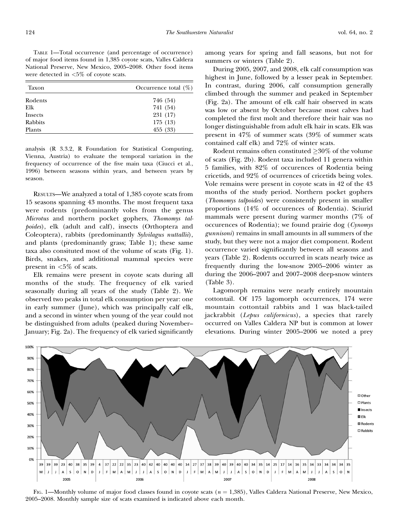| Taxon   | Occurrence total $(\%)$ |  |  |  |
|---------|-------------------------|--|--|--|
| Rodents | 746 (54)                |  |  |  |
| Elk     | 741 (54)                |  |  |  |
| Insects | 231 (17)                |  |  |  |
| Rabbits | 175 (13)                |  |  |  |
| Plants  | 455 (33)                |  |  |  |

analysis (R 3.3.2, R Foundation for Statistical Computing, Vienna, Austria) to evaluate the temporal variation in the frequency of occurrence of the five main taxa (Ciucci et al., 1996) between seasons within years, and between years by season.

RESULTS—We analyzed a total of 1,385 coyote scats from 15 seasons spanning 43 months. The most frequent taxa were rodents (predominantly voles from the genus Microtus and northern pocket gophers, Thomomys talpoides), elk (adult and calf), insects (Orthoptera and Coleoptera), rabbits (predominantly Sylvilagus nuttallii), and plants (predominantly grass; Table 1); these same taxa also consituted most of the volume of scats (Fig. 1). Birds, snakes, and additional mammal species were present in  $<5\%$  of scats.

Elk remains were present in coyote scats during all months of the study. The frequency of elk varied seasonally during all years of the study (Table 2). We observed two peaks in total elk consumption per year: one in early summer (June), which was principally calf elk, and a second in winter when young of the year could not be distinguished from adults (peaked during November– January; Fig. 2a). The frequency of elk varied significantly among years for spring and fall seasons, but not for summers or winters (Table 2).

During 2005, 2007, and 2008, elk calf consumption was highest in June, followed by a lesser peak in September. In contrast, during 2006, calf consumption generally climbed through the summer and peaked in September (Fig. 2a). The amount of elk calf hair observed in scats was low or absent by October because most calves had completed the first molt and therefore their hair was no longer distinguishable from adult elk hair in scats. Elk was present in 47% of summer scats (39% of summer scats contained calf elk) and 72% of winter scats.

Rodent remains often constituted  $\geq 30\%$  of the volume of scats (Fig. 2b). Rodent taxa included 11 genera within 5 families, with 82% of occurences of Rodentia being cricetids, and 92% of ocurrences of cricetids being voles. Vole remains were present in coyote scats in 42 of the 43 months of the study period. Northern pocket gophers (Thomomys talpoides) were consistently present in smaller proportions (14% of occurences of Rodentia). Sciurid mammals were present during warmer months (7% of occurences of Rodentia); we found prairie dog (Cynomys gunnisoni) remains in small amounts in all summers of the study, but they were not a major diet component. Rodent occurrence varied significantly between all seasons and years (Table 2). Rodents occurred in scats nearly twice as frequently during the low-snow 2005–2006 winter as during the 2006–2007 and 2007–2008 deep-snow winters (Table 3).

Lagomorph remains were nearly entirely mountain cottontail. Of 175 lagomorph occurrences, 174 were mountain cottontail rabbits and 1 was black-tailed jackrabbit (Lepus californicus), a species that rarely occurred on Valles Caldera NP but is common at lower elevations. During winter 2005–2006 we noted a prey



FIG. 1—Monthly volume of major food classes found in coyote scats  $(n = 1,385)$ , Valles Caldera National Preserve, New Mexico, 2005–2008. Monthly sample size of scats examined is indicated above each month.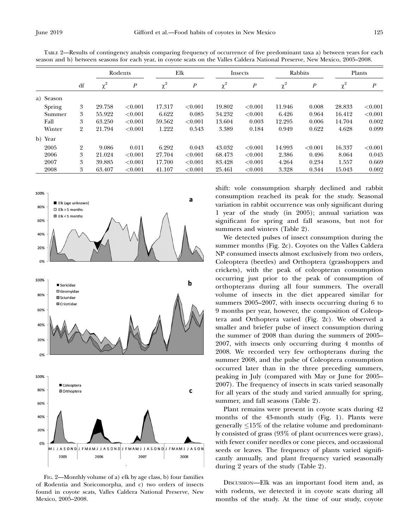|           | df             | Rodents  |                  | Elk      |                  | Insects  |                  | Rabbits  |                  | Plants   |                  |
|-----------|----------------|----------|------------------|----------|------------------|----------|------------------|----------|------------------|----------|------------------|
|           |                | $\chi^2$ | $\boldsymbol{P}$ | $\chi^2$ | $\boldsymbol{P}$ | $\chi^2$ | $\boldsymbol{P}$ | $\chi^2$ | $\boldsymbol{P}$ | $\chi^2$ | $\boldsymbol{P}$ |
| a) Season |                |          |                  |          |                  |          |                  |          |                  |          |                  |
| Spring    | 3              | 29.758   | < 0.001          | 17.317   | < 0.001          | 19.802   | < 0.001          | 11.946   | 0.008            | 28.833   | < 0.001          |
| Summer    | 3              | 55.922   | < 0.001          | 6.622    | 0.085            | 34.232   | ${<}0.001$       | 6.426    | 0.964            | 16.412   | < 0.001          |
| Fall      | 3              | 63.250   | < 0.001          | 59.562   | < 0.001          | 13.604   | 0.003            | 12.295   | 0.006            | 14.704   | 0.002            |
| Winter    | $\overline{2}$ | 21.794   | < 0.001          | 1.222    | 0.543            | 3.389    | 0.184            | 0.949    | 0.622            | 4.628    | 0.099            |
| b) Year   |                |          |                  |          |                  |          |                  |          |                  |          |                  |
| 2005      | $\overline{2}$ | 9.086    | 0.011            | 6.292    | 0.043            | 43.032   | ${<}0.001$       | 14.993   | < 0.001          | 16.337   | < 0.001          |
| 2006      | 3              | 21.024   | < 0.001          | 27.704   | < 0.001          | 68.473   | ${<}0.001$       | 2.386    | 0.496            | 8.064    | 0.045            |
| 2007      | 3              | 39.885   | < 0.001          | 17.700   | < 0.001          | 83.428   | ${<}0.001$       | 4.264    | 0.234            | 1.557    | 0.669            |
| 2008      | 3              | 63.407   | < 0.001          | 41.107   | < 0.001          | 25.461   | < 0.001          | 3.328    | 0.344            | 15.043   | 0.002            |

TABLE 2—Results of contingency analysis comparing frequency of occurrence of five predominant taxa a) between years for each season and b) between seasons for each year, in coyote scats on the Valles Caldera National Preserve, New Mexico, 2005–2008.



FIG. 2—Monthly volume of a) elk by age class, b) four families of Rodentia and Soricomorpha, and c) two orders of insects found in coyote scats, Valles Caldera National Preserve, New Mexico, 2005–2008.

shift: vole consumption sharply declined and rabbit consumption reached its peak for the study. Seasonal variation in rabbit occurrence was only significant during 1 year of the study (in 2005); annual variation was significant for spring and fall seasons, but not for summers and winters (Table 2).

We detected pulses of insect consumption during the summer months (Fig. 2c). Coyotes on the Valles Caldera NP consumed insects almost exclusively from two orders, Coleoptera (beetles) and Orthoptera (grasshoppers and crickets), with the peak of coleopteran consumption occurring just prior to the peak of consumption of orthopterans during all four summers. The overall volume of insects in the diet appeared similar for summers 2005–2007, with insects occurring during 6 to 9 months per year, however, the composition of Coleoptera and Orthoptera varied (Fig. 2c). We observed a smaller and briefer pulse of insect consumption during the summer of 2008 than during the summers of 2005– 2007, with insects only occurring during 4 months of 2008. We recorded very few orthopterans during the summer 2008, and the pulse of Coleoptera consumption occurred later than in the three preceding summers, peaking in July (compared with May or June for 2005– 2007). The frequency of insects in scats varied seasonally for all years of the study and varied annually for spring, summer, and fall seasons (Table 2).

Plant remains were present in coyote scats during 42 months of the 43-month study (Fig. 1). Plants were generally  $\leq$ 15% of the relative volume and predominantly consisted of grass (93% of plant ocurrences were grass), with fewer conifer needles or cone pieces, and occassional seeds or leaves. The frequency of plants varied significantly annually, and plant frequency varied seasonally during 2 years of the study (Table 2).

DISCUSSION—Elk was an important food item and, as with rodents, we detected it in coyote scats during all months of the study. At the time of our study, coyote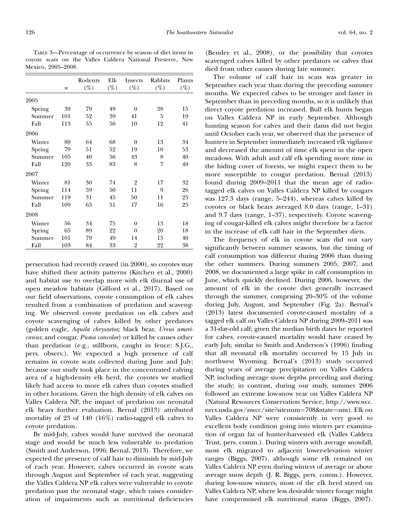TABLE 3—Percentage of occurrence by season of diet items in coyote scats on the Valles Caldera National Preserve, New Mexico, 2005–2008.

|        | $\boldsymbol{n}$ | Rodents<br>$(\%)$ | Elk<br>$(\%)$ | <b>Insects</b><br>$(\%)$ | Rabbits<br>$(\%)$ | Plants<br>$(\%)$ |
|--------|------------------|-------------------|---------------|--------------------------|-------------------|------------------|
| 2005   |                  |                   |               |                          |                   |                  |
| Spring | 39               | 79                | 49            | $\theta$                 | 28                | 15               |
| Summer | 101              | 52                | 39            | 41                       | 5                 | 19               |
| Fall   | 113              | 55                | 56            | 10                       | 12                | 41               |
| 2006   |                  |                   |               |                          |                   |                  |
| Winter | 80               | 64                | 68            | $\theta$                 | 13                | 34               |
| Spring | 79               | 51                | 52            | 19                       | 10                | 53               |
| Summer | 105              | 40                | 56            | 43                       | 8                 | 40               |
| Fall   | 120              | 33                | 83            | 8                        | 7                 | 49               |
| 2007   |                  |                   |               |                          |                   |                  |
| Winter | 81               | 30                | 74            | 2                        | 17                | 32               |
| Spring | 114              | 59                | 50            | 11                       | 9                 | 26               |
| Summer | 119              | 31                | 45            | 50                       | 11                | 25               |
| Fall   | 109              | 63                | 51            | 17                       | 16                | 25               |
| 2008   |                  |                   |               |                          |                   |                  |
| Winter | 56               | 34                | 75            | $\theta$                 | 13                | 18               |
| Spring | 65               | 89                | 22            | $\theta$                 | 20                | 18               |
| Summer | 101              | 79                | 49            | 14                       | 15                | 40               |
| Fall   | 103              | 84                | 33            | 2                        | 22                | 38               |

persecution had recently ceased (in 2000), so coyotes may have shifted their activity patterns (Kitchen et al., 2000) and habitat use to overlap more with elk diurnal use of open meadow habitats (Gifford et al., 2017). Based on our field observations, coyote consumption of elk calves resulted from a combination of predation and scavenging. We observed coyote predation on elk calves and coyote scavenging of calves killed by other predators (golden eagle, Aquila chrysaetos; black bear, Ursus americanus; and cougar, Puma concolor) or killed by causes other than predation (e.g., stillborn, caught in fence; S.J.G., pers. observ.). We expected a high presence of calf remains in coyote scats collected during June and July; because our study took place in the concentrated calving area of a high-density elk herd, the coyotes we studied likely had access to more elk calves than coyotes studied in other locations. Given the high density of elk calves on Valles Caldera NP, the impact of predation on neonatal elk bears further evaluation. Bernal (2013) attributed mortality of 23 of 140 (16%) radio-tagged elk calves to coyote predation.

By mid-July, calves would have survived the neonatal stage and would be much less vulnerable to predation (Smith and Anderson, 1996; Bernal, 2013). Therefore, we expected the presence of calf hair to diminish by mid-July of each year. However, calves occurred in coyote scats through August and September of each year, suggesting the Valles Caldera NP elk calves were vulnerable to coyote predation past the neonatal stage, which raises consideration of impairments such as nutritional deficiencies

(Bender et al., 2008), or the possibility that coyotes scavenged calves killed by other predators or calves that died from other causes during late summer.

The volume of calf hair in scats was greater in September each year than during the preceding summer months. We expected calves to be stronger and faster in September than in preceding months, so it is unlikely that direct coyote predation increased. Bull elk hunts began on Valles Caldera NP in early September. Although hunting season for calves and their dams did not begin until October each year, we observed that the presence of hunters in September immediately increased elk vigilance and decreased the amount of time elk spent in the open meadows. With adult and calf elk spending more time in the hiding cover of forests, we might expect them to be more susceptible to cougar predation. Bernal (2013) found during 2009–2011 that the mean age of radiotagged elk calves on Valles Caldera NP killed by cougars was 127.3 days (range, 5–244), whereas calves killed by coyotes or black bears averaged 8.0 days (range, 1–31) and 9.7 days (range, 1–37), respectively. Coyote scavenging of cougar-killed elk calves might therefore be a factor in the increase of elk calf hair in the September diets.

The frequency of elk in coyote scats did not vary significantly between summer seasons, but the timing of calf consumption was different during 2006 than during the other summers. During summers 2005, 2007, and 2008, we documented a large spike in calf consumption in June, which quickly declined. During 2006, however, the amount of elk in the coyote diet generally increased through the summer, comprising 20–30% of the volume during July, August, and September (Fig. 2a). Bernal's (2013) latest documented coyote-caused mortality of a tagged elk calf on Valles Caldera NP during 2009–2011 was a 31-day-old calf; given the median birth dates he reported for calves, coyote-caused mortality would have ceased by early July, similar to Smith and Anderson's (1996) finding that all neonatal elk mortality occurred by 15 July in northwest Wyoming. Bernal's (2013) study occurred during years of average precipitation on Valles Caldera NP, including average snow depths preceding and during the study; in contrast, during our study, summer 2006 followed an extreme low-snow year on Valles Caldera NP (Natural Resources Conservation Service, http://www.wcc. nrcs.usda.gov/nwcc/site?sitenum=708&state=nm). Elk on Valles Caldera NP were consistently in very good to excellent body condition going into winters per examination of organ fat of hunter-harvested elk (Valles Caldera Trust, pers. comm.). During winters with average snowfall, most elk migrated to adjacent lower-elevation winter ranges (Biggs, 2007), although some elk remained on Valles Caldera NP even during winters of average or above average snow depth (J. R. Biggs, pers. comm.). However, during low-snow winters, most of the elk herd stayed on Valles Caldera NP, where less desirable winter forage might have compromised elk nutritional status (Biggs, 2007).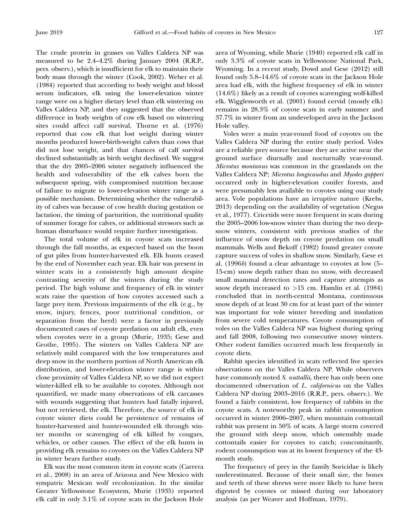The crude protein in grasses on Valles Caldera NP was measured to be 2.4–4.2% during January 2004 (R.R.P., pers. observ.), which is insufficient for elk to maintain their body mass through the winter (Cook, 2002). Weber et al. (1984) reported that according to body weight and blood serum indicators, elk using the lower-elevation winter range were on a higher dietary level than elk wintering on Valles Caldera NP, and they suggested that the observed difference in body weights of cow elk based on wintering sites could affect calf survival. Thorne et al. (1976) reported that cow elk that lost weight during winter months produced lower-birth-weight calves than cows that did not lose weight, and that chances of calf survival declined substantially as birth weight declined. We suggest that the dry 2005–2006 winter negatively influenced the health and vulnerability of the elk calves born the subsequent spring, with compromised nutrition because of failure to migrate to lower-elevation winter range as a possible mechanism. Determining whether the vulnerability of calves was because of cow health during gestation or lactation, the timing of parturition, the nutritional quality of summer forage for calves, or additional stressors such as human disturbance would require further investigation.

The total volume of elk in coyote scats increased through the fall months, as expected based on the boon of gut piles from hunter-harvested elk. Elk hunts ceased by the end of November each year. Elk hair was present in winter scats in a consistently high amount despite contrasting severity of the winters during the study period. The high volume and frequency of elk in winter scats raise the question of how coyotes accessed such a large prey item. Previous impairments of the elk (e.g., by snow, injury, fences, poor nutritional condition, or separation from the herd) were a factor in previously documented cases of coyote predation on adult elk, even when coyotes were in a group (Murie, 1935; Gese and Grothe, 1995). The winters on Valles Caldera NP are relatively mild compared with the low temperatures and deep snow in the northern portion of North American elk distribution, and lower-elevation winter range is within close proximity of Valles Caldera NP, so we did not expect winter-killed elk to be available to coyotes. Although not quantified, we made many observations of elk carcasses with wounds suggesting that hunters had fatally injured, but not retrieved, the elk. Therefore, the source of elk in coyote winter diets could be persistence of remains of hunter-harvested and hunter-wounded elk through winter months or scavenging of elk killed by cougars, vehicles, or other causes. The effect of the elk hunts in providing elk remains to coyotes on the Valles Caldera NP in winter bears further study.

Elk was the most common item in coyote scats (Carrera et al., 2008) in an area of Arizona and New Mexico with sympatric Mexican wolf recolonization. In the similar Greater Yellowstone Ecosystem, Murie (1935) reported elk calf in only 3.1% of coyote scats in the Jackson Hole area of Wyoming, while Murie (1940) reported elk calf in only 3.3% of coyote scats in Yellowstone National Park, Wyoming. In a recent study, Dowd and Gese (2012) still found only 5.8–14.6% of coyote scats in the Jackson Hole area had elk, with the highest frequency of elk in winter (14.6%) likely as a result of coyotes scavenging wolf-killed elk. Wigglesworth et al. (2001) found cervid (mostly elk) remains in 28.3% of coyote scats in early summer and 37.7% in winter from an undeveloped area in the Jackson Hole valley.

Voles were a main year-round food of coyotes on the Valles Caldera NP during the entire study period. Voles are a reliable prey source because they are active near the ground surface diurnally and nocturnally year-round. Microtus montanus was common in the grasslands on the Valles Caldera NP; Microtus longicaudus and Myodes gapperi occurred only in higher-elevation conifer forests, and were presumably less available to coyotes using our study area. Vole populations have an irruptive nature (Krebs, 2013) depending on the availability of vegetation (Negus et al., 1977). Cricetids were more frequent in scats during the 2005–2006 low-snow winter than during the two deepsnow winters, consistent with previous studies of the influence of snow depth on coyote predation on small mammals. Wells and Bekoff (1982) found greater coyote capture success of voles in shallow snow. Similarly, Gese et al. (1996b) found a clear advantage to coyotes at low (5– 15-cm) snow depth rather than no snow, with decreased small mammal detection rates and capture attempts as snow depth increased to  $>15$  cm. Hamlin et al. (1984) concluded that in north-central Montana, continuous snow depth of at least 30 cm for at least part of the winter was important for vole winter breeding and insulation from severe cold temperatures. Coyote consumption of voles on the Valles Caldera NP was highest during spring and fall 2008, following two consecutive snowy winters. Other rodent families occurred much less frequently in coyote diets.

Rabbit species identified in scats reflected live species observations on the Valles Caldera NP. While observers have commonly noted S. nuttallii, there has only been one documented observation of L. californicus on the Valles Caldera NP during 2003–2016 (R.R.P., pers. observ.). We found a fairly consistent, low frequency of rabbits in the coyote scats. A noteworthy peak in rabbit consumption occurred in winter 2006–2007, when mountain cottontail rabbit was present in 50% of scats. A large storm covered the ground with deep snow, which ostensibly made cottontails easier for coyotes to catch; concomitantly, rodent consumption was at its lowest frequency of the 43 month study.

The frequency of prey in the family Soricidae is likely underestimated. Because of their small size, the bones and teeth of these shrews were more likely to have been digested by coyotes or missed during our laboratory analysis (as per Weaver and Hoffman, 1979).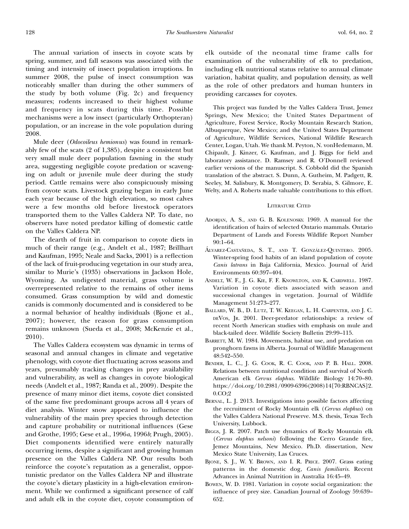The annual variation of insects in coyote scats by spring, summer, and fall seasons was associated with the timing and intensity of insect population irruptions. In summer 2008, the pulse of insect consumption was noticeably smaller than during the other summers of the study by both volume (Fig. 2c) and frequency measures; rodents increased to their highest volume and frequency in scats during this time. Possible mechanisms were a low insect (particularly Orthopteran) population, or an increase in the vole population during 2008.

Mule deer (Odocoileus hemionus) was found in remarkably few of the scats (2 of 1,385), despite a consistent but very small mule deer population fawning in the study area, suggesting negligible coyote predation or scavenging on adult or juvenile mule deer during the study period. Cattle remains were also conspicuously missing from coyote scats. Livestock grazing began in early June each year because of the high elevation, so most calves were a few months old before livestock operators transported them to the Valles Caldera NP. To date, no observers have noted predator killing of domestic cattle on the Valles Caldera NP.

The dearth of fruit in comparison to coyote diets in much of their range (e.g., Andelt et al., 1987; Brillhart and Kaufman, 1995; Neale and Sacks, 2001) is a reflection of the lack of fruit-producing vegetation in our study area, similar to Murie's (1935) observations in Jackson Hole, Wyoming. As undigested material, grass volume is overrepresented relative to the remains of other items consumed. Grass consumption by wild and domestic canids is commonly documented and is considered to be a normal behavior of healthy individuals (Bjone et al., 2007); however, the reason for grass consumption remains unknown (Sueda et al., 2008; McKenzie et al., 2010).

The Valles Caldera ecosystem was dynamic in terms of seasonal and annual changes in climate and vegetative phenology, with coyote diet fluctuating across seasons and years, presumably tracking changes in prey availability and vulnerability, as well as changes in coyote biological needs (Andelt et al., 1987; Randa et al., 2009). Despite the presence of many minor diet items, coyote diet consisted of the same five predominant groups across all 4 years of diet analysis. Winter snow appeared to influence the vulnerability of the main prey species through detection and capture probability or nutritional influences (Gese and Grothe, 1995; Gese et al., 1996a, 1996b; Prugh, 2005). Diet components identified were entirely naturally occurring items, despite a significant and growing human presence on the Valles Caldera NP. Our results both reinforce the coyote's reputation as a generalist, opportunistic predator on the Valles Caldera NP and illustrate the coyote's dietary plasticity in a high-elevation environment. While we confirmed a significant presence of calf and adult elk in the coyote diet, coyote consumption of elk outside of the neonatal time frame calls for examination of the vulnerability of elk to predation, including elk nutritional status relative to annual climate variation, habitat quality, and population density, as well as the role of other predators and human hunters in providing carcasses for coyotes.

This project was funded by the Valles Caldera Trust, Jemez Springs, New Mexico; the United States Department of Agriculture, Forest Service, Rocky Mountain Research Station, Albuquerque, New Mexico; and the United States Department of Agriculture, Wildlife Services, National Wildlife Research Center, Logan, Utah. We thank M. Peyton, N. vonHedemann, M. Chipault, J. Kinzer, G. Kaufman, and J. Biggs for field and laboratory assistance. D. Ramsey and R. O'Donnell reviewed earlier versions of the manuscript. S. Cobbold did the Spanish translation of the abstract. S. Dunn, A. Gutheim, M. Padgett, R. Seeley, M. Salisbury, K. Montgomery, D. Serabia, S. Gilmore, E. Welty, and A. Roberts made valuable contributions to this effort.

### LITERATURE CITED

- ADORJAN, A. S., AND G. B. KOLENOSKY. 1969. A manual for the identification of hairs of selected Ontario mammals. Ontario Department of Lands and Forests Wildlife Report Number 90:1–64.
- ÁLVAREZ-CASTAÑEDA, S. T., AND T. GONZÁLEZ-QUINTERO. 2005. Winter-spring food habits of an island population of coyote Canis latrans in Baja California, Mexico. Journal of Arid Environments 60:397–404.
- ANDELT, W. F., J. G. KIE, F. F. KNOWLTON, AND K. CARDWELL. 1987. Variation in coyote diets associated with season and successional changes in vegetation. Journal of Wildlife Management 51:273–277.
- BALLARD, W. B., D. LUTZ, T. W. KEEGAN, L. H. CARPENTER, AND J. C. DEVOS, JR. 2001. Deer-predator relationships: a review of recent North American studies with emphasis on mule and black-tailed deer. Wildlife Society Bulletin 29:99–115.
- BARRETT, M. W. 1984. Movements, habitat use, and predation on pronghorn fawns in Alberta. Journal of Wildlife Management 48:542–550.
- BENDER, L. C., J. G. COOK, R. C. COOK, AND P. B. HALL. 2008. Relations between nutritional condition and survival of North American elk Cervus elaphus. Wildlife Biology 14:70–80. https://doi.org/10.2981/0909-6396(2008)14[70:RBNCAS]2. 0.CO;2
- BERNAL, L. J. 2013. Investigations into possible factors affecting the recruitment of Rocky Mountain elk (Cervus elaphus) on the Valles Caldera National Preserve. M.S. thesis, Texas Tech University, Lubbock.
- BIGGS, J. R. 2007. Patch use dynamics of Rocky Mountain elk (Cervus elaphus nelsoni) following the Cerro Grande fire, Jemez Mountains, New Mexico. Ph.D. dissertation, New Mexico State University, Las Cruces.
- BJONE, S. J., W. Y. BROWN, AND I. R. PRICE. 2007. Grass eating patterns in the domestic dog, Canis familiaris. Recent Advances in Animal Nutrition in Australia 16:45–49.
- BOWEN, W. D. 1981. Variation in coyote social organization: the influence of prey size. Canadian Journal of Zoology 59:639– 652.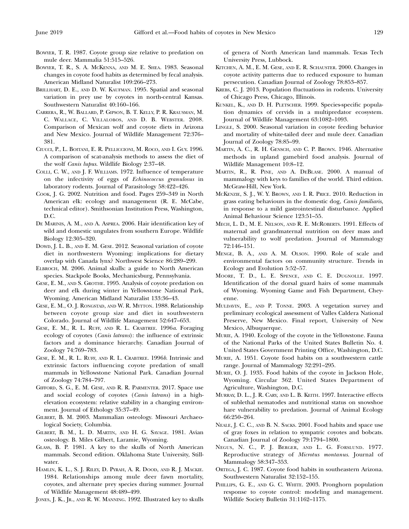- BOWYER, T. R. 1987. Coyote group size relative to predation on mule deer. Mammalia 51:515–526.
- BOWYER, T. R., S. A. MCKENNA, AND M. E. SHEA. 1983. Seasonal changes in coyote food habits as determined by fecal analysis. American Midland Naturalist 109:266–273.
- BRILLHART, D. E., AND D. W. KAUFMAN. 1995. Spatial and seasonal variation in prey use by coyotes in north-central Kansas. Southwestern Naturalist 40:160–166.
- CARRERA, R., W. BALLARD, P. GIPSON, B. T. KELLY, P. R. KRAUSMAN, M. C. WALLACE, C. VILLALOBOS, AND D. B. WEBSTER. 2008. Comparison of Mexican wolf and coyote diets in Arizona and New Mexico. Journal of Wildlife Management 72:376– 381.
- CIUCCI, P., L. BOITANI, E. R. PELLICCIONI, M. ROCO, AND I. GUY. 1996. A comparison of scat-analysis methods to assess the diet of the wolf Canis lupus. Wildlife Biology 2:37–48.
- COLLI, C. W., AND J. F. WILLIAMS. 1972. Influence of temperature on the infectivity of eggs of Echinococcus granulosus in laboratory rodents. Journal of Parasitology 58:422–426.
- COOK, J. G. 2002. Nutrition and food. Pages 259–349 in North American elk: ecology and management (R. E. McCabe, technical editor). Smithsonian Institution Press, Washington, D.C.
- DE MARINIS, A. M., AND A. ASPREA. 2006. Hair identification key of wild and domestic ungulates from southern Europe. Wildlife Biology 12:305–320.
- DOWD, J. L. B., AND E. M. GESE. 2012. Seasonal variation of coyote diet in northwestern Wyoming: implications for dietary overlap with Canada lynx? Northwest Science 86:289–299.
- ELBROCH, M. 2006. Animal skulls: a guide to North American species. Stackpole Books, Mechanicsburg, Pennsylvania.
- GESE, E. M., AND S. GROTHE. 1995. Analysis of coyote predation on deer and elk during winter in Yellowstone National Park, Wyoming. American Midland Naturalist 133:36–43.
- GESE, E. M., O. J. RONGSTAD, AND W. R. MYTTON. 1988. Relationship between coyote group size and diet in southwestern Colorado. Journal of Wildlife Management 52:647–653.
- GESE, E. M., R. L. RUFF, AND R. L. CRABTREE. 1996a. Foraging ecology of coyotes (Canis latrans): the influence of extrinsic factors and a dominance hierarchy. Canadian Journal of Zoology 74:769–783.
- GESE, E. M., R. L. RUFF, AND R. L. CRABTREE. 1996b. Intrinsic and extrinsic factors influencing coyote predation of small mammals in Yellowstone National Park. Canadian Journal of Zoology 74:784–797.
- GIFFORD, S. G., E. M. GESE, AND R. R. PARMENTER. 2017. Space use and social ecology of coyotes (Canis latrans) in a highelevation ecosystem: relative stability in a changing environment. Journal of Ethology 35:37–49.
- GILBERT, B. M. 2003. Mammalian osteology. Missouri Archaeological Society, Columbia.
- GILBERT, B. M., L. D. MARTIN, AND H. G. SAVAGE. 1981. Avian osteology. B. Miles Gilbert, Laramie, Wyoming.
- GLASS, B. P. 1981. A key to the skulls of North American mammals. Second edition. Oklahoma State University, Stillwater.
- HAMLIN, K. L., S. J. RILEY, D. PYRAH, A. R. DOOD, AND R. J. MACKIE. 1984. Relationships among mule deer fawn mortality, coyotes, and alternate prey species during summer. Journal of Wildlife Management 48:489–499.
- JONES, J. K., JR., AND R. W. MANNING. 1992. Illustrated key to skulls

of genera of North American land mammals. Texas Tech University Press, Lubbock.

- KITCHEN, A. M., E. M. GESE, AND E. R. SCHAUSTER. 2000. Changes in coyote activity patterns due to reduced exposure to human persecution. Canadian Journal of Zoology 78:853–857.
- KREBS, C. J. 2013. Population fluctuations in rodents. University of Chicago Press, Chicago, Illinois.
- KUNKEL, K., AND D. H. PLETSCHER. 1999. Species-specific population dynamics of cervids in a multipredator ecosystem. Journal of Wildlife Management 63:1082–1093.
- LINGLE, S. 2000. Seasonal variation in coyote feeding behavior and mortality of white-tailed deer and mule deer. Canadian Journal of Zoology 78:85–99.
- MARTIN, A. C., R. H. GENSCH, AND C. P. BROWN. 1946. Alternative methods in upland gamebird food analysis. Journal of Wildlife Management 10:8–12.
- MARTIN, R., R. PINE, AND A. DEBLASE. 2000. A manual of mammalogy with keys to families of the world. Third edition. McGraw-Hill, New York.
- MCKENZIE, S. J., W. Y. BROWN, AND I. R. PRICE. 2010. Reduction in grass eating behaviours in the domestic dog, Canis familiaris, in response to a mild gastrointestinal disturbance. Applied Animal Behaviour Science 123:51–55.
- MECH, L. D., M. E. NELSON, AND R. E. MCROBERTS. 1991. Effects of maternal and grandmaternal nutrition on deer mass and vulnerability to wolf predation. Journal of Mammalogy 72:146–151.
- MENGE, B. A., AND A. M. OLSON. 1990. Role of scale and environmental factors on community structure. Trends in Ecology and Evolution 5:52–57.
- MOORE, T. D., L. E. SPENCE, AND C. E. DUGNOLLE. 1997. Identification of the dorsal guard hairs of some mammals of Wyoming. Wyoming Game and Fish Department, Cheyenne.
- MULDAVIN, E., AND P. TONNE. 2003. A vegetation survey and preliminary ecological assessment of Valles Caldera National Preserve, New Mexico. Final report, University of New Mexico, Albuquerque.
- MURIE, A. 1940. Ecology of the coyote in the Yellowstone. Fauna of the National Parks of the United States Bulletin No. 4. United States Government Printing Office, Washington, D.C.
- MURIE, A. 1951. Coyote food habits on a southwestern cattle range. Journal of Mammalogy 32:291–295.
- MURIE, O. J. 1935. Food habits of the coyote in Jackson Hole, Wyoming. Circular 362. United States Department of Agriculture, Washington, D.C.
- MURRAY, D. L., J. R. CARY, AND L. B. KEITH. 1997. Interactive effects of sublethal nematodes and nutritional status on snowshoe hare vulnerability to predation. Journal of Animal Ecology 66:250–264.
- NEALE, J. C. C., AND B. N. SACKS. 2001. Food habits and space use of gray foxes in relation to sympatric coyotes and bobcats. Canadian Journal of Zoology 79:1794–1800.
- NEGUS, N. C., P. J. BERGER, AND L. G. FORSLUND. 1977. Reproductive strategy of Microtus montanus. Journal of Mammalogy 58:347–353.
- ORTEGA, J. C. 1987. Coyote food habits in southeastern Arizona. Southwestern Naturalist 32:152–155.
- PHILLIPS, G. E., AND G. C. WHITE. 2003. Pronghorn population response to coyote control: modeling and management. Wildlife Society Bulletin 31:1162–1175.